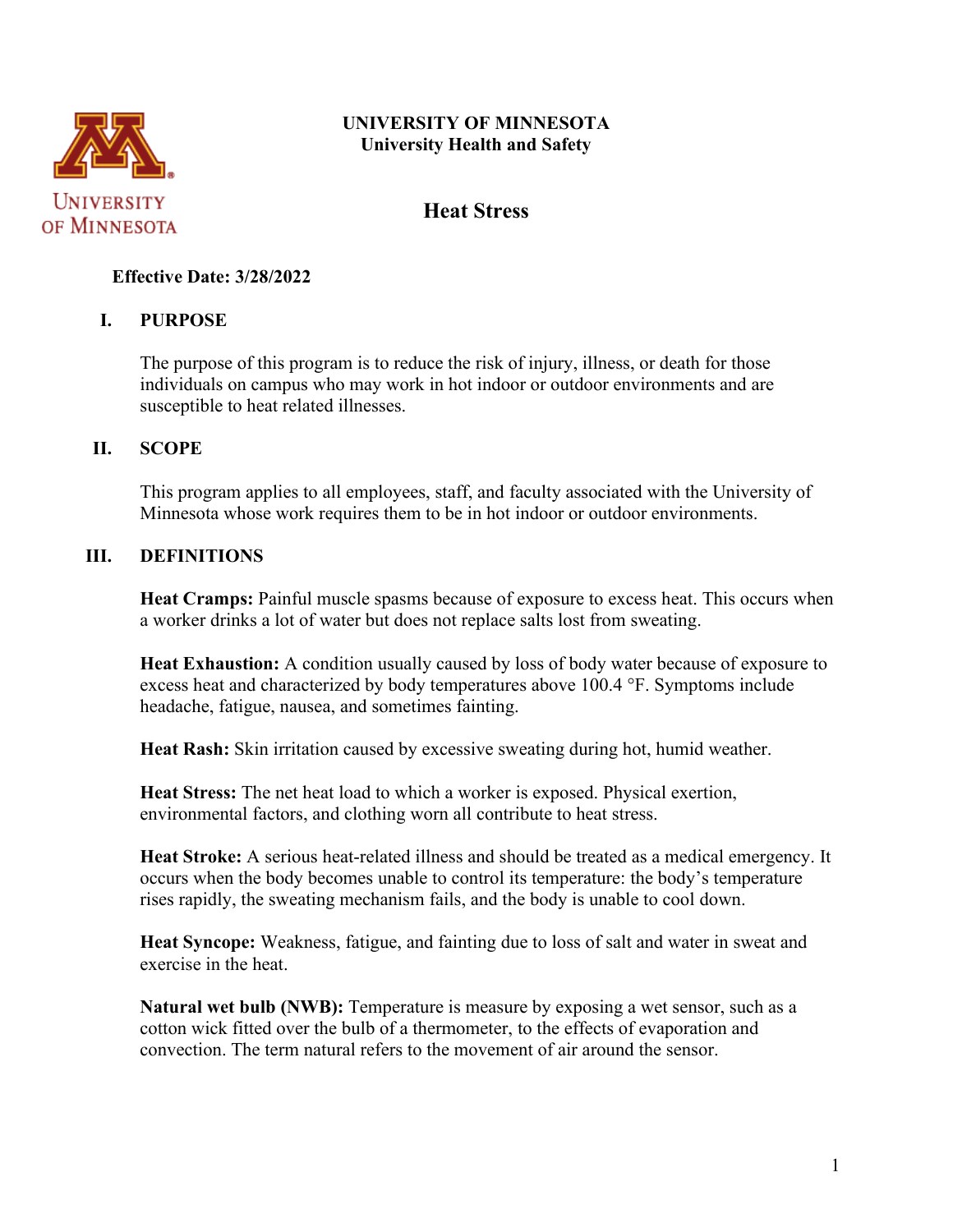

# **UNIVERSITY OF MINNESOTA University Health and Safety**

# **Heat Stress**

## **Effective Date: 3/28/2022**

# **I. PURPOSE**

The purpose of this program is to reduce the risk of injury, illness, or death for those individuals on campus who may work in hot indoor or outdoor environments and are susceptible to heat related illnesses.

### **II. SCOPE**

This program applies to all employees, staff, and faculty associated with the University of Minnesota whose work requires them to be in hot indoor or outdoor environments.

### **III. DEFINITIONS**

**Heat Cramps:** Painful muscle spasms because of exposure to excess heat. This occurs when a worker drinks a lot of water but does not replace salts lost from sweating.

**Heat Exhaustion:** A condition usually caused by loss of body water because of exposure to excess heat and characterized by body temperatures above 100.4 °F. Symptoms include headache, fatigue, nausea, and sometimes fainting.

**Heat Rash:** Skin irritation caused by excessive sweating during hot, humid weather.

**Heat Stress:** The net heat load to which a worker is exposed. Physical exertion, environmental factors, and clothing worn all contribute to heat stress.

**Heat Stroke:** A serious heat-related illness and should be treated as a medical emergency. It occurs when the body becomes unable to control its temperature: the body's temperature rises rapidly, the sweating mechanism fails, and the body is unable to cool down.

**Heat Syncope:** Weakness, fatigue, and fainting due to loss of salt and water in sweat and exercise in the heat.

**Natural wet bulb (NWB):** Temperature is measure by exposing a wet sensor, such as a cotton wick fitted over the bulb of a thermometer, to the effects of evaporation and convection. The term natural refers to the movement of air around the sensor.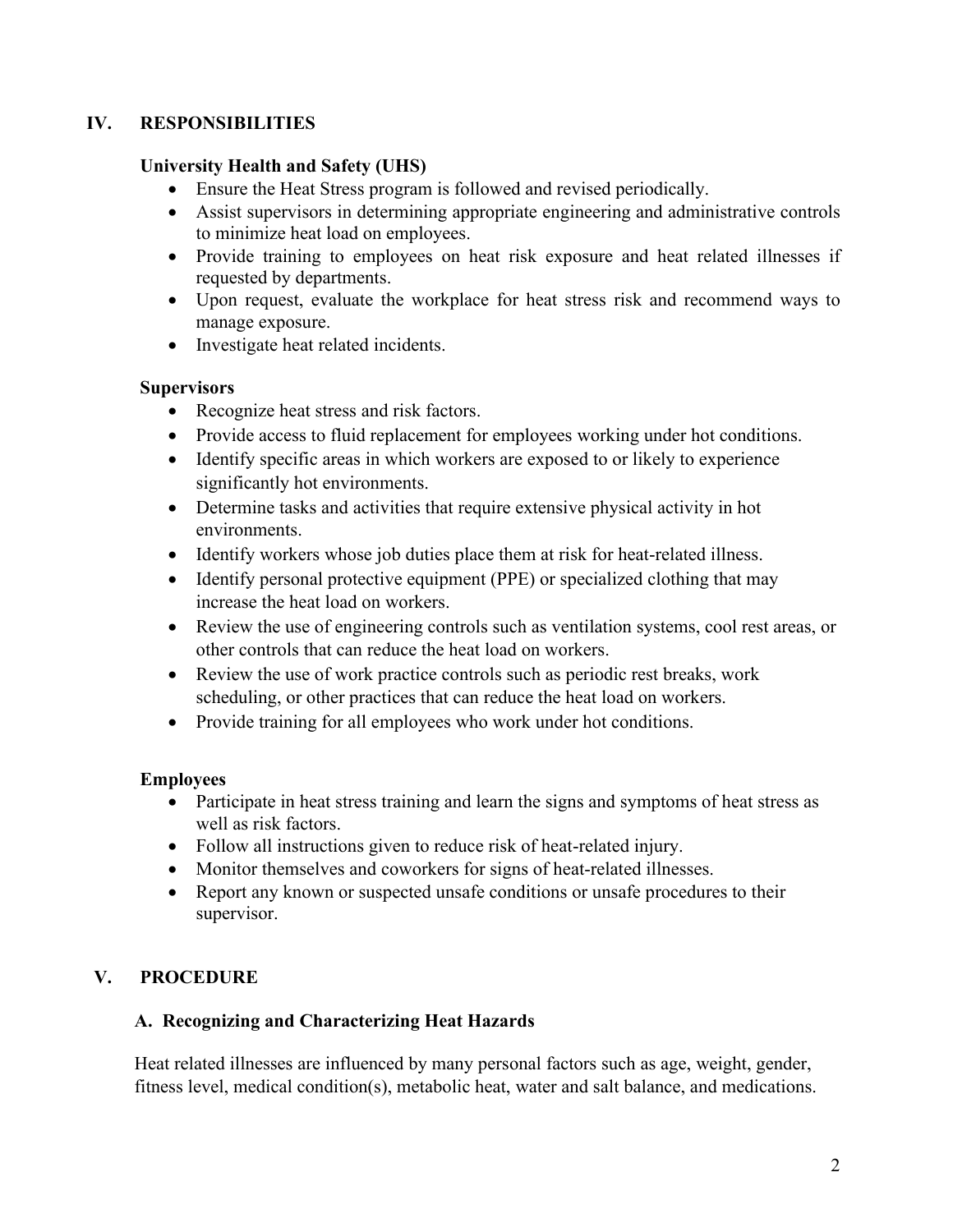# **IV. RESPONSIBILITIES**

### **University Health and Safety (UHS)**

- Ensure the Heat Stress program is followed and revised periodically.
- Assist supervisors in determining appropriate engineering and administrative controls to minimize heat load on employees.
- Provide training to employees on heat risk exposure and heat related illnesses if requested by departments.
- Upon request, evaluate the workplace for heat stress risk and recommend ways to manage exposure.
- Investigate heat related incidents.

### **Supervisors**

- Recognize heat stress and risk factors.
- Provide access to fluid replacement for employees working under hot conditions.
- Identify specific areas in which workers are exposed to or likely to experience significantly hot environments.
- Determine tasks and activities that require extensive physical activity in hot environments.
- Identify workers whose job duties place them at risk for heat-related illness.
- Identify personal protective equipment (PPE) or specialized clothing that may increase the heat load on workers.
- Review the use of engineering controls such as ventilation systems, cool rest areas, or other controls that can reduce the heat load on workers.
- Review the use of work practice controls such as periodic rest breaks, work scheduling, or other practices that can reduce the heat load on workers.
- Provide training for all employees who work under hot conditions.

# **Employees**

- Participate in heat stress training and learn the signs and symptoms of heat stress as well as risk factors.
- Follow all instructions given to reduce risk of heat-related injury.
- Monitor themselves and coworkers for signs of heat-related illnesses.
- Report any known or suspected unsafe conditions or unsafe procedures to their supervisor.

# **V. PROCEDURE**

# **A. Recognizing and Characterizing Heat Hazards**

Heat related illnesses are influenced by many personal factors such as age, weight, gender, fitness level, medical condition(s), metabolic heat, water and salt balance, and medications.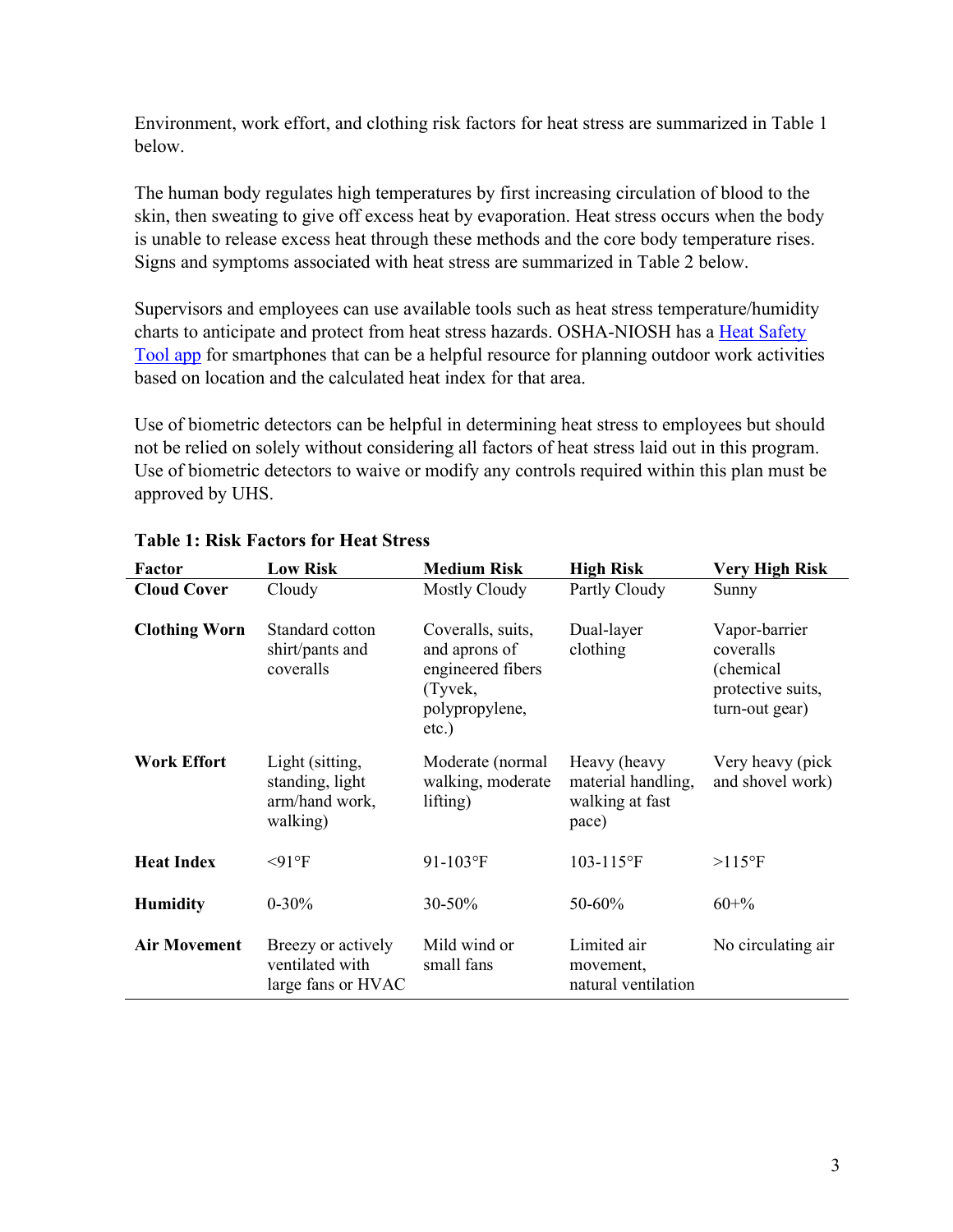Environment, work effort, and clothing risk factors for heat stress are summarized in Table 1 below.

The human body regulates high temperatures by first increasing circulation of blood to the skin, then sweating to give off excess heat by evaporation. Heat stress occurs when the body is unable to release excess heat through these methods and the core body temperature rises. Signs and symptoms associated with heat stress are summarized in Table 2 below.

Supervisors and employees can use available tools such as heat stress temperature/humidity charts to anticipate and protect from heat stress hazards. OSHA-NIOSH has a [Heat Safety](https://www.cdc.gov/niosh/topics/heatstress/heatapp.html)  [Tool app](https://www.cdc.gov/niosh/topics/heatstress/heatapp.html) for smartphones that can be a helpful resource for planning outdoor work activities based on location and the calculated heat index for that area.

Use of biometric detectors can be helpful in determining heat stress to employees but should not be relied on solely without considering all factors of heat stress laid out in this program. Use of biometric detectors to waive or modify any controls required within this plan must be approved by UHS.

| <b>Factor</b>        | <b>Low Risk</b>                                                  | <b>Medium Risk</b>                                                                            | <b>High Risk</b>                                               | <b>Very High Risk</b>                                                          |
|----------------------|------------------------------------------------------------------|-----------------------------------------------------------------------------------------------|----------------------------------------------------------------|--------------------------------------------------------------------------------|
| <b>Cloud Cover</b>   | Cloudy                                                           | Mostly Cloudy                                                                                 | Partly Cloudy                                                  | Sunny                                                                          |
| <b>Clothing Worn</b> | Standard cotton<br>shirt/pants and<br>coveralls                  | Coveralls, suits,<br>and aprons of<br>engineered fibers<br>(Tyvek,<br>polypropylene,<br>etc.) | Dual-layer<br>clothing                                         | Vapor-barrier<br>coveralls<br>(chemical<br>protective suits,<br>turn-out gear) |
| <b>Work Effort</b>   | Light (sitting,<br>standing, light<br>arm/hand work,<br>walking) | Moderate (normal<br>walking, moderate<br>lifting)                                             | Heavy (heavy<br>material handling,<br>walking at fast<br>pace) | Very heavy (pick<br>and shovel work)                                           |
| <b>Heat Index</b>    | $<$ 91°F                                                         | 91-103°F                                                                                      | $103 - 115$ °F                                                 | $>115$ °F                                                                      |
| <b>Humidity</b>      | $0 - 30\%$                                                       | 30-50%                                                                                        | 50-60%                                                         | $60 + \%$                                                                      |
| <b>Air Movement</b>  | Breezy or actively<br>ventilated with<br>large fans or HVAC      | Mild wind or<br>small fans                                                                    | Limited air<br>movement,<br>natural ventilation                | No circulating air                                                             |

# **Table 1: Risk Factors for Heat Stress**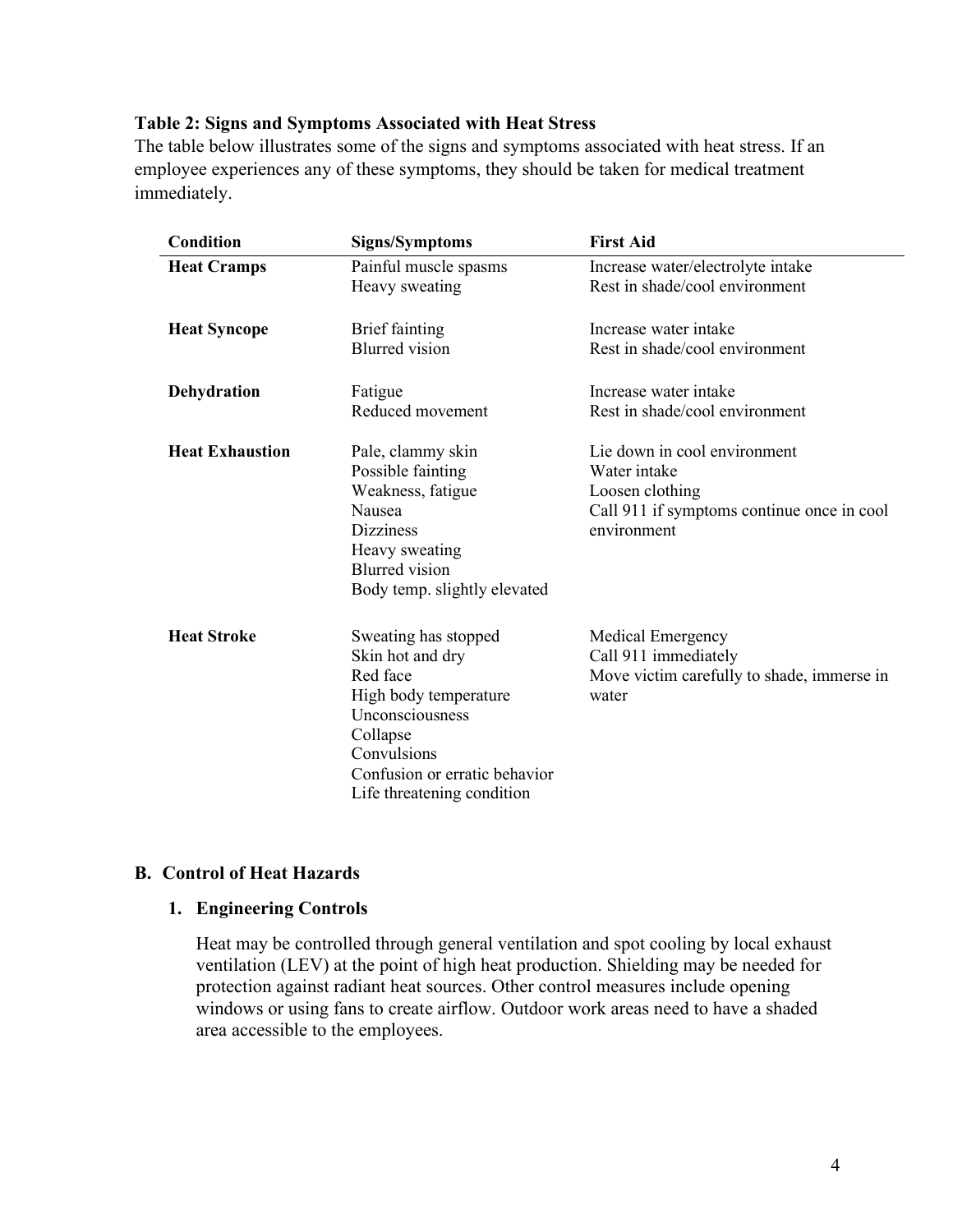#### **Table 2: Signs and Symptoms Associated with Heat Stress**

The table below illustrates some of the signs and symptoms associated with heat stress. If an employee experiences any of these symptoms, they should be taken for medical treatment immediately.

| <b>Condition</b>       | <b>Signs/Symptoms</b>                                                                                                                                                                      | <b>First Aid</b>                                                                                                             |
|------------------------|--------------------------------------------------------------------------------------------------------------------------------------------------------------------------------------------|------------------------------------------------------------------------------------------------------------------------------|
| <b>Heat Cramps</b>     | Painful muscle spasms<br>Heavy sweating                                                                                                                                                    | Increase water/electrolyte intake<br>Rest in shade/cool environment                                                          |
| <b>Heat Syncope</b>    | <b>Brief</b> fainting<br><b>Blurred</b> vision                                                                                                                                             | Increase water intake<br>Rest in shade/cool environment                                                                      |
| Dehydration            | Fatigue<br>Reduced movement                                                                                                                                                                | Increase water intake<br>Rest in shade/cool environment                                                                      |
| <b>Heat Exhaustion</b> | Pale, clammy skin<br>Possible fainting<br>Weakness, fatigue<br>Nausea<br><b>Dizziness</b><br>Heavy sweating<br><b>Blurred</b> vision<br>Body temp. slightly elevated                       | Lie down in cool environment<br>Water intake<br>Loosen clothing<br>Call 911 if symptoms continue once in cool<br>environment |
| <b>Heat Stroke</b>     | Sweating has stopped<br>Skin hot and dry<br>Red face<br>High body temperature<br>Unconsciousness<br>Collapse<br>Convulsions<br>Confusion or erratic behavior<br>Life threatening condition | <b>Medical Emergency</b><br>Call 911 immediately<br>Move victim carefully to shade, immerse in<br>water                      |

# **B. Control of Heat Hazards**

#### **1. Engineering Controls**

Heat may be controlled through general ventilation and spot cooling by local exhaust ventilation (LEV) at the point of high heat production. Shielding may be needed for protection against radiant heat sources. Other control measures include opening windows or using fans to create airflow. Outdoor work areas need to have a shaded area accessible to the employees.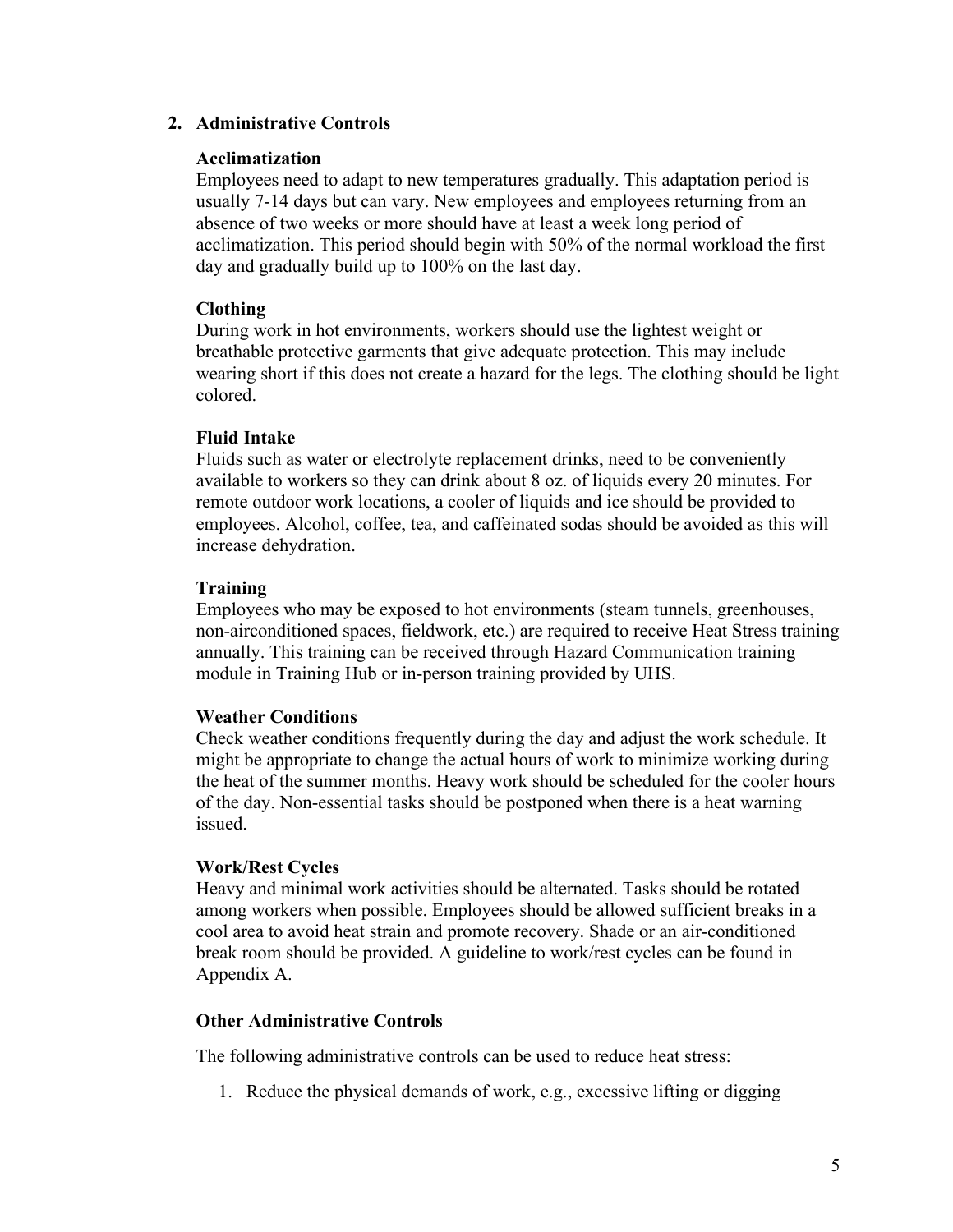## **2. Administrative Controls**

#### **Acclimatization**

Employees need to adapt to new temperatures gradually. This adaptation period is usually 7-14 days but can vary. New employees and employees returning from an absence of two weeks or more should have at least a week long period of acclimatization. This period should begin with 50% of the normal workload the first day and gradually build up to 100% on the last day.

### **Clothing**

During work in hot environments, workers should use the lightest weight or breathable protective garments that give adequate protection. This may include wearing short if this does not create a hazard for the legs. The clothing should be light colored.

### **Fluid Intake**

Fluids such as water or electrolyte replacement drinks, need to be conveniently available to workers so they can drink about 8 oz. of liquids every 20 minutes. For remote outdoor work locations, a cooler of liquids and ice should be provided to employees. Alcohol, coffee, tea, and caffeinated sodas should be avoided as this will increase dehydration.

# **Training**

Employees who may be exposed to hot environments (steam tunnels, greenhouses, non-airconditioned spaces, fieldwork, etc.) are required to receive Heat Stress training annually. This training can be received through Hazard Communication training module in Training Hub or in-person training provided by UHS.

#### **Weather Conditions**

Check weather conditions frequently during the day and adjust the work schedule. It might be appropriate to change the actual hours of work to minimize working during the heat of the summer months. Heavy work should be scheduled for the cooler hours of the day. Non-essential tasks should be postponed when there is a heat warning issued.

# **Work/Rest Cycles**

Heavy and minimal work activities should be alternated. Tasks should be rotated among workers when possible. Employees should be allowed sufficient breaks in a cool area to avoid heat strain and promote recovery. Shade or an air-conditioned break room should be provided. A guideline to work/rest cycles can be found in Appendix A.

# **Other Administrative Controls**

The following administrative controls can be used to reduce heat stress:

1. Reduce the physical demands of work, e.g., excessive lifting or digging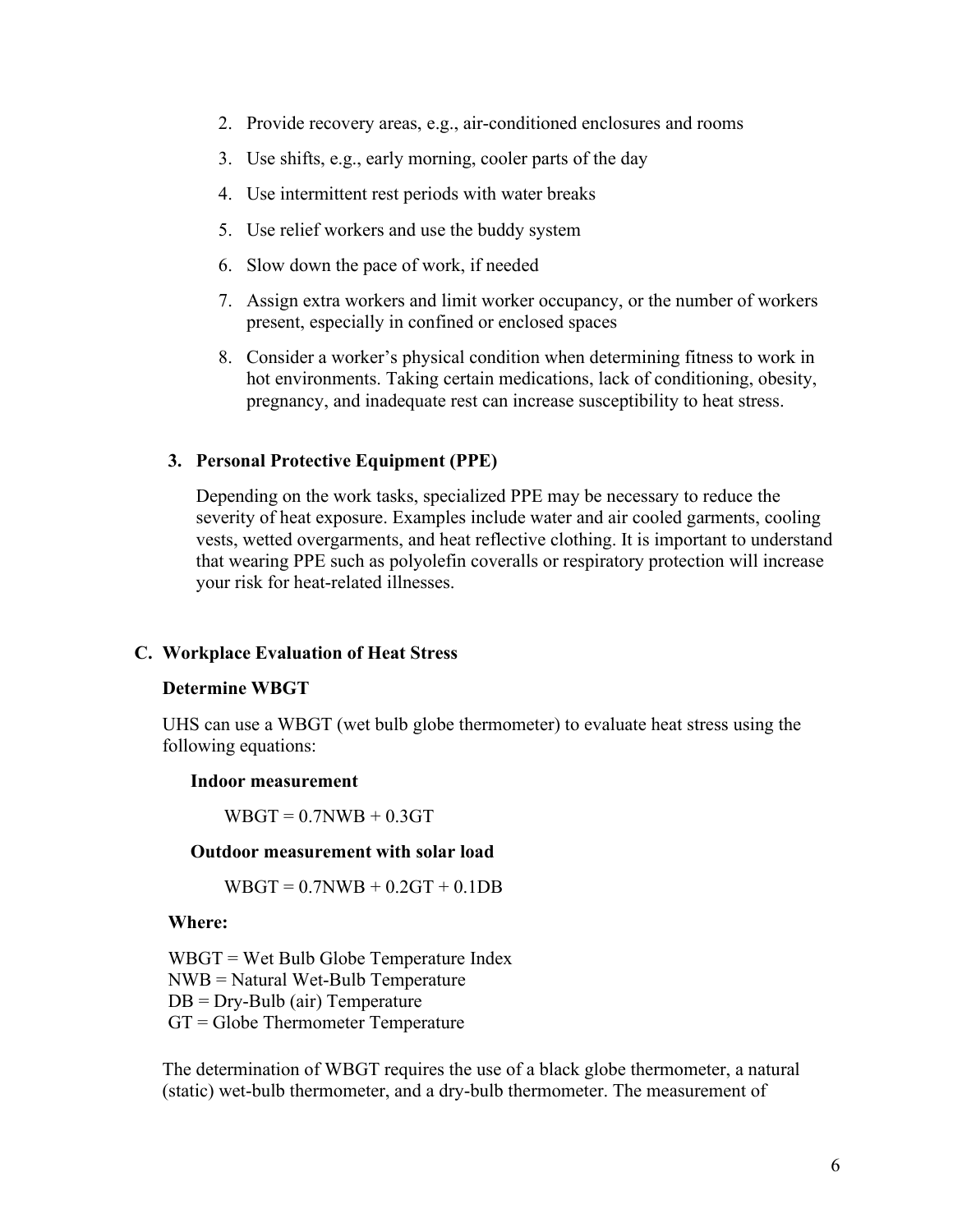- 2. Provide recovery areas, e.g., air-conditioned enclosures and rooms
- 3. Use shifts, e.g., early morning, cooler parts of the day
- 4. Use intermittent rest periods with water breaks
- 5. Use relief workers and use the buddy system
- 6. Slow down the pace of work, if needed
- 7. Assign extra workers and limit worker occupancy, or the number of workers present, especially in confined or enclosed spaces
- 8. Consider a worker's physical condition when determining fitness to work in hot environments. Taking certain medications, lack of conditioning, obesity, pregnancy, and inadequate rest can increase susceptibility to heat stress.

#### **3. Personal Protective Equipment (PPE)**

Depending on the work tasks, specialized PPE may be necessary to reduce the severity of heat exposure. Examples include water and air cooled garments, cooling vests, wetted overgarments, and heat reflective clothing. It is important to understand that wearing PPE such as polyolefin coveralls or respiratory protection will increase your risk for heat-related illnesses.

#### **C. Workplace Evaluation of Heat Stress**

#### **Determine WBGT**

UHS can use a WBGT (wet bulb globe thermometer) to evaluate heat stress using the following equations:

#### **Indoor measurement**

 $WBGT = 0.7NWB + 0.3GT$ 

#### **Outdoor measurement with solar load**

 $WBGT = 0.7NWB + 0.2GT + 0.1DB$ 

#### **Where:**

WBGT = Wet Bulb Globe Temperature Index NWB = Natural Wet-Bulb Temperature  $DB = Dry-Bulb$  (air) Temperature GT = Globe Thermometer Temperature

The determination of WBGT requires the use of a black globe thermometer, a natural (static) wet-bulb thermometer, and a dry-bulb thermometer. The measurement of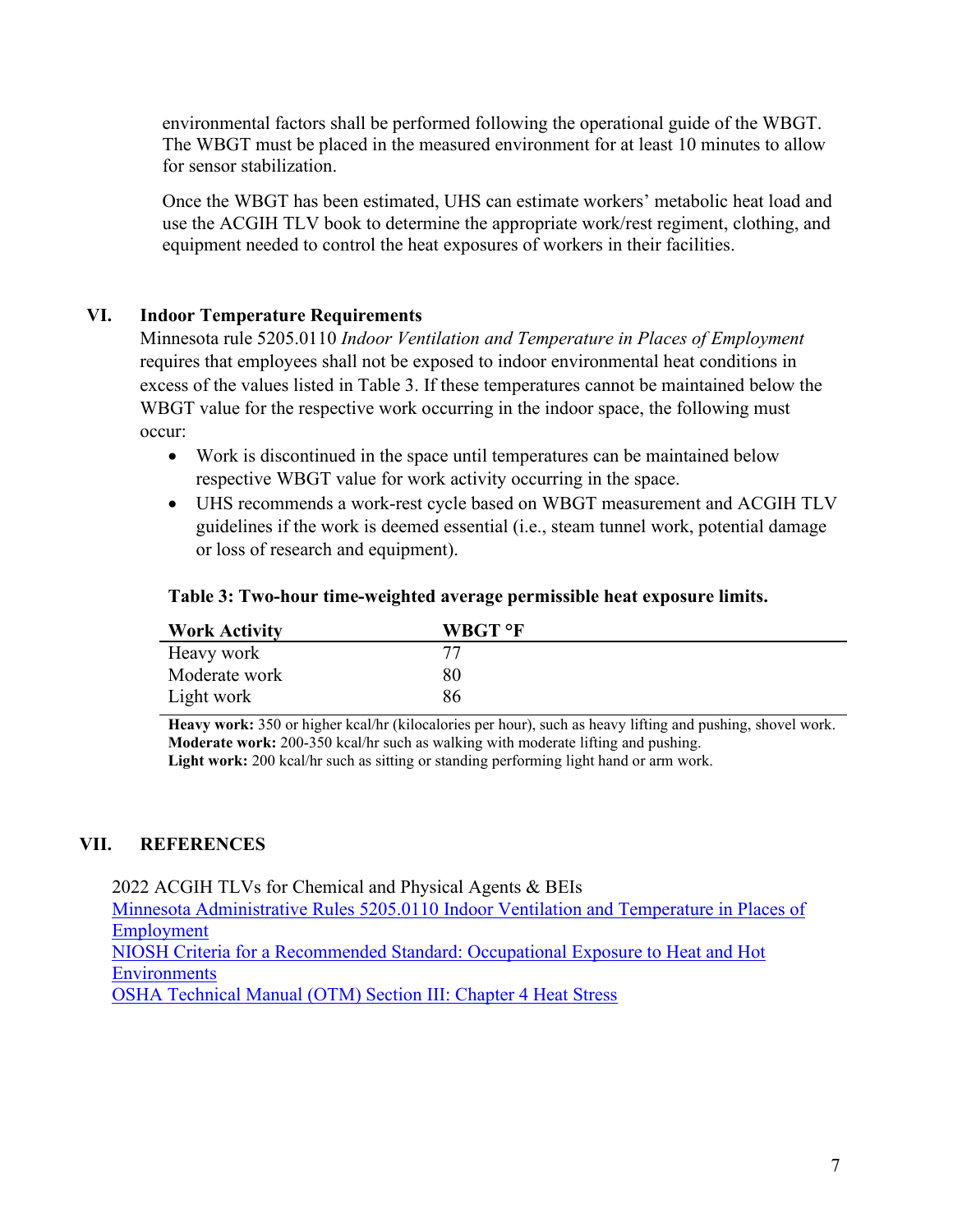environmental factors shall be performed following the operational guide of the WBGT. The WBGT must be placed in the measured environment for at least 10 minutes to allow for sensor stabilization.

Once the WBGT has been estimated, UHS can estimate workers' metabolic heat load and use the ACGIH TLV book to determine the appropriate work/rest regiment, clothing, and equipment needed to control the heat exposures of workers in their facilities.

# **VI. Indoor Temperature Requirements**

Minnesota rule 5205.0110 *Indoor Ventilation and Temperature in Places of Employment* requires that employees shall not be exposed to indoor environmental heat conditions in excess of the values listed in Table 3. If these temperatures cannot be maintained below the WBGT value for the respective work occurring in the indoor space, the following must occur:

- Work is discontinued in the space until temperatures can be maintained below respective WBGT value for work activity occurring in the space.
- UHS recommends a work-rest cycle based on WBGT measurement and ACGIH TLV guidelines if the work is deemed essential (i.e., steam tunnel work, potential damage or loss of research and equipment).

### **Table 3: Two-hour time-weighted average permissible heat exposure limits.**

| <b>Work Activity</b> | WBGT °F |
|----------------------|---------|
| Heavy work           | 77      |
| Moderate work        | 80      |
| Light work           | 86      |

**Heavy work:** 350 or higher kcal/hr (kilocalories per hour), such as heavy lifting and pushing, shovel work. **Moderate work:** 200-350 kcal/hr such as walking with moderate lifting and pushing. **Light work:** 200 kcal/hr such as sitting or standing performing light hand or arm work.

# **VII. REFERENCES**

2022 ACGIH TLVs for Chemical and Physical Agents & BEIs [Minnesota Administrative Rules 5205.0110 Indoor Ventilation and Temperature in Places](https://www.revisor.mn.gov/rules/5205.0110/) of [Employment](https://www.revisor.mn.gov/rules/5205.0110/) [NIOSH Criteria for a Recommended Standard: Occupational Exposure to Heat and Hot](https://www.cdc.gov/niosh/docs/2016-106/pdfs/2016-106.pdf)  **[Environments](https://www.cdc.gov/niosh/docs/2016-106/pdfs/2016-106.pdf)** [OSHA Technical Manual \(OTM\) Section III: Chapter 4 Heat Stress](https://www.osha.gov/otm/section-3-health-hazards/chapter-4#acclimatization)